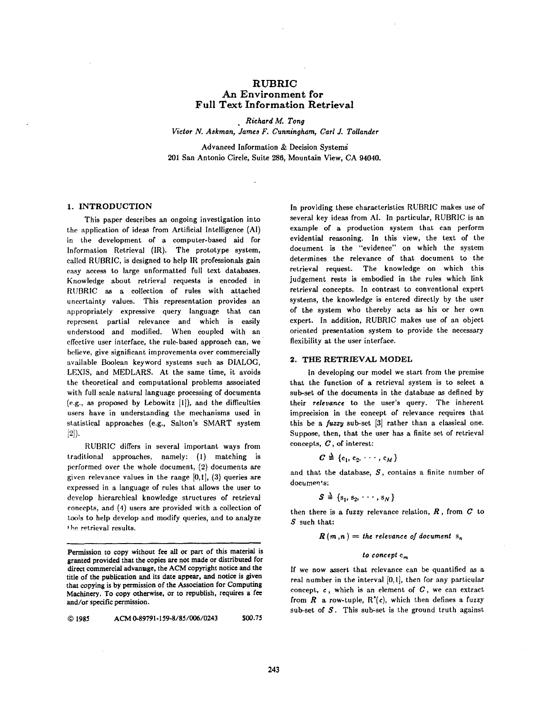# **RUBRIC An Environment for Full** Text Information Retrieval

*Richard M. Tong* 

*Victor N. Askman, James F. Cunningham, Carl J. Tollander* 

Advanced Information & Decision Systems 201 San Antonio Circle, Suite 286, Mountain View, CA 94040.

# 1. INTRODUCTION

This paper describes an ongoing investigation into the application of ideas from Artificial Intelligence (AI) in the development of a computer-based aid for Information Retrieval (IR). The prototype system, called RUBRIC, is designed to help IR professionals gain easy access to large unformatted full text databases. Knowledge about retrieval requests is encoded in RUBRIC as a collection of rules with attached uncertainty values. This representation provides an appropriately expressive query language that can represent partial relevance and which is easily understood and modified. When coupled with an effective user interface, the rule-based approach can, we believe, give significant improvements over commercially available Boolean keyword systems such as DIALOG, LEX1S, and MEDLARS. At the same time, it avoids the theoretical and computational problems associated with full scale natural language processing of documents (e.g., as proposed by Lebowitz  $[1]$ ), and the difficulties users have in understanding the mechanisms used in statistical approaches (e.g., Salton's SMART system  $|2|$ ).

RUBRIC differs in several important ways from traditional approaches, namely: (1) matching is performed over the whole document, (2) documents are given relevance values in the range  $[0,1]$ ,  $(3)$  queries are expressed in a language of rules that allows the user to develop hierarchical knowledge structures of retrieval concepts, and (4) users are provided with a collection of tools to help develop and modify queries, and to analyze \*he retrieval results.

$$
\textcircled{1985} \qquad \text{ACM 0-89791-159-8/85/006/0243} \qquad \text{$00.75}
$$

In providing these characteristics RUBRIC makes use of several key ideas from AI. In particular, RUBRIC is an example of a production system that can perform evidential reasoning. In this view, the text of the document is the "evidence" on which the system determines the relevance of that document to the retrieval request. The knowledge on which this judgement rests is embodied in the rules which link retrieval concepts. In contrast to conventional expert systems, the knowledge is entered directly by the user of the system who thereby acts as his or her own expert. In addition, RUBRIC makes use of an object oriented presentation system to provide the necessary flexibility at the user interface.

#### 2. THE RETRIEVAL MODEL

In developing our model we start from the premise that the function of a retrieval system is to select a sub-set of the documents in the database as defined by their *relevance* to the user's query. The inherent imprecision in the concept of relevance requires that this be a *fuzzy* sub-set [3] rather than a classical one. Suppose, then, that the user has a finite set of retrieval concepts, C, of interest:

$$
C \triangleq \{c_1, c_2, \cdots, c_M\}
$$

and that the database,  $S$ , contains a finite number of documents:

$$
S \triangleq \{s_1, s_2, \cdots, s_N\}
$$

then there is a fuzzy relevance relation,  $R$ , from  $C$  to  $S$  such that:

 $R(m, n) =$  the relevance of document  $s_n$ 

### *to concept*  $c_m$

If we now assert that relevance can be quantified as a real number in the interval [0,1], then for any particular concept,  $c$ , which is an element of  $C$ , we can extract from  $R$  a row-tuple,  $R^*(c)$ , which then defines a fuzzy sub-set of S. This sub-set is the ground truth against

**Permission to copy without fee all or part of this material is granted provided that the copies are not made** or distributed for direct commercial advantage, the ACM copyright notice and the **title of the** publication and **its date** appear, and notice is given **that copying** is by permission of the Association for **Computing**  Machinery. To copy otherwise, or **to republish,** requires a **fee**  and/or specific **permission.**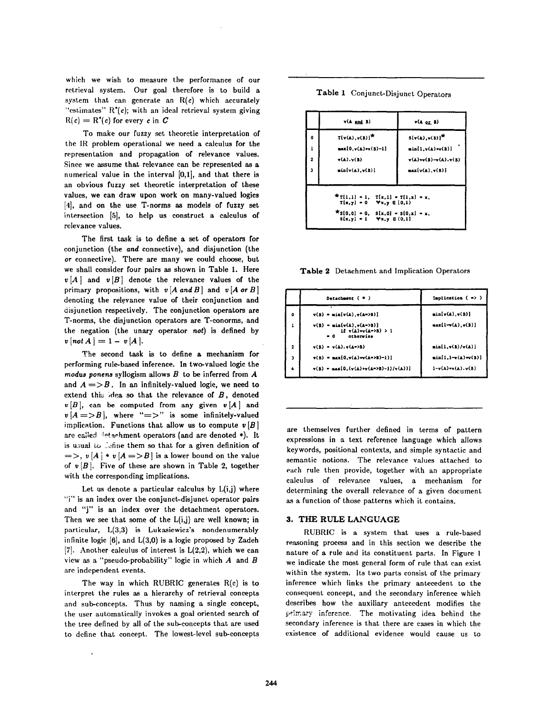which we wish to measure the performance of our retrieval system. Our goal therefore is to build a system that can generate an  $R(c)$  which accurately "estimates"  $R^*(c)$ ; with an ideal retrieval system giving  $R(c) = R^*(c)$  for every c in C

To make our fuzzy set theoretic interpretation of the IR problem operational we need a calculus for the representation and propagation of relevance values. Since we assume that relevance can be represented as a numerical value in the interval [0,1], and that there is an obvious fuzzy set theoretic interpretation of these values, we can draw upon work on many-valued logics [4], and on the use T-norms as models of fuzzy set intersection [5], to help us construct a calculus of relevance values.

The first task is to define a set of operators for conjunction (the *and* connective), and disjunction (the or connective). There are many we could choose, but we shall consider four pairs as shown in Table 1. Here  $v[A]$  and  $v[B]$  denote the relevance values of the primary propositions, with  $v[A \text{ and } B]$  and  $v[A \text{ or } B]$ denoting the relevance value of their conjunction and disjunction respectively. The conjunction operators are T-norms, the disjunction operators are T-conorms, and the negation (the unary operator *not)* is defined by  $v[not A] = 1 - v[A].$ 

The second task is to define a mechanism for performing rule-based inference. In two-valued logic the *modus ponens* syllogism allows B to be inferred from A and  $A = > B$ . In an infinitely-valued logic, we need to extend this idea so that the relevance of  $B$ , denoted  $v[B]$ , can be computed from any given  $v[A]$  and  $v[A=>B]$ , where "=>" is some infinitely-valued implication. Functions that allow us to compute  $v[B]$ are called letachment operators (and are denoted \*). It is usual to lefine them so that for a given definition of  $=$ >,  $v[A] * v[A = > B]$  is a lower bound on the value of  $v [B]$ . Five of these are shown in Table 2, together with the corresponding implications.

Let us denote a particular calculus by  $L(i,j)$  where "i" is an index over the conjunct-disjunct operator pairs and "j" is an index over the detachment operators. Then we see that some of the  $L(i,j)$  are well known; in particular, L(3,3) is Lukasiewicz's nondenumerably infinite logic [6], and L(3,0) is a logic proposed by Zadeh [7]. Another calculus of interest is  $L(2,2)$ , which we can view as a "pseudo-probability" logic in which  $A$  and  $B$ are independent events.

The way in which RUBRIC generates R(c) is to interpret the rules as a hierarchy of retrieval concepts and sub-concepts. Thus by naming a single concept, the user automatically invokes a goal oriented search of the tree defined by all of the sub-concepts that are used to define that concept. The lowest-level sub-concepts



|                                                                                                                                                                                                 | $v(A \mod B)$                                  | $v(A_0; B)$                               |
|-------------------------------------------------------------------------------------------------------------------------------------------------------------------------------------------------|------------------------------------------------|-------------------------------------------|
| $\Omega$<br>1                                                                                                                                                                                   | $T(v(A), v(B))^*$<br>$max[0, v(A) + v(B) - 1]$ | $S(v(A), v(B))^{\pi}$<br>min[1.v(A)sv(B)] |
| $\mathbf{z}$                                                                                                                                                                                    | $v(A)$ , $v(B)$                                | $v(A)+v(B)-v(A),v(B)$                     |
| $\overline{\mathbf{3}}$                                                                                                                                                                         | $sin(v(\Delta), v(\Delta))$                    | max[v(A), v(B)]                           |
| $\pi_{\text{I}}[1,1] = 1, \quad \tau(x,1) = \tau[1,x] = x,$<br>$T[x,y] = 0 \quad \forall x,y \in [0,1)$<br>$\pi_{S[0,0]} = 0$ , $S[x,0] = S[0,x] = x$ ,<br>$S(x,y) = 1$ $\forall x,y \in (0,1]$ |                                                |                                           |

Table 2 Detachment and Implication Operators

|   | Detachment $($ * $)$                                                     | Implication $( \rightarrow )$ |
|---|--------------------------------------------------------------------------|-------------------------------|
| ۰ | $v(B) = min[v(A), v(A=>B)]$                                              | sin(v(A), v(B))               |
|   | $v(B) = min(v(A), v(A->B))$<br>if $v(A)+v(A+>B) > 1$<br>- 0<br>otherwise | $max(1-v(A), v(B))$           |
| , | $v(B) = v(A), v(A=>B)$                                                   | min(1.v(B)/v(A))              |
| 3 | $v(B) = max[0. v(A) + v(A=>B) - 1)]$                                     | $min[1,1-v(A)+v(B)]$          |
| 4 | $v(B) = max[0.(v(A)+v(A=>B)-1)/v(A))]$                                   | $1-y(A)+y(A)$ . $y(B)$        |

are themselves further defined in terms of pattern expressions in a text reference language which allows keywords, positional contexts, and simple syntactic and semantic notions. The relevance values attached to each rule then provide, together with an appropriate calculus of relevance values, a mechanism for determining the overall relevance of a given document as a function of those patterns which it contains.

# 3. THE RULE LANGUAGE

RUBRIC is a system that uses a rule-based reasoning process and in this section we describe the nature of a rule and its constituent parts. In Figure 1 we indicate the most general form of rule that can exist within the system. Its two parts consist of the primary inference which links the primary antecedent to the consequent concept, and the secondary inference which describes how the auxiliary antecedent modifies the primary inference. The motivating idea behind the secondary inference is that there are cases in which the existence of additional evidence would cause us to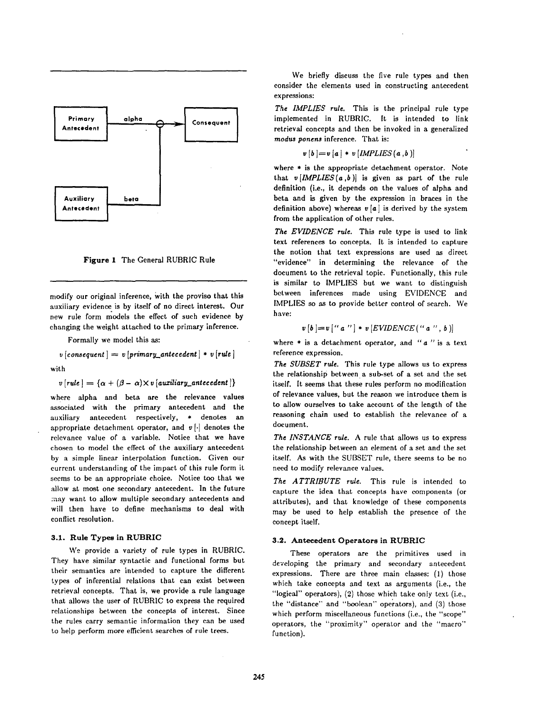

**Figure** 1 The General RUBRIC Rule

modify our original inference, with the proviso that this auxiliary evidence is by itself of no direct interest. Our new rule form models the effect of such evidence by changing the weight attached to the primary inference.

Formally we model this as:

 $v$  [consequent]  $= v$  [primary\_antecedent] \* v [rule]

with

 $v$  [*rule*  $| = {\alpha + (\beta - \alpha) \times v}$  [auxiliary\_antecedent ]}

where alpha and beta are the relevance values associated with the primary antecedent and the auxiliary antecedent respectively, \* denotes an appropriate detachment operator, and  $v[\cdot]$  denotes the relevance value of a variable. Notice that we have chosen to model the effect of the auxiliary antecedent by a simple linear interpolation function. Given our current understanding of the impact of this rule form it seems to be an appropriate choice. Notice too that we allow at most one secondary antecedent. In the future :nay want to allow multiple secondary antecedents and will then have to define mechanisms to deal with conflict resolution.

#### **3.1. Rule Types in RUBRIC**

We provide a variety of rule types in RUBRIC. They have similar syntactic and functional forms but their semantics are intended to capture the different types of inferential relations that can exist between retrieval concepts. That is, we provide a rule language that allows the user of RUBRIC to express the required relationships between the concepts of interest. Since the rules carry semantic information they can be used to help perform more efficient searches of rule trees.

We briefly discuss the five rule types and then consider the elements used in constructing antecedent expressions:

The IMPLIES rule. This is the principal rule type implemented in RUBRIC. It is intended to link retrieval concepts and then be invoked in a generalized *modus ponen8* inference. That is:

$$
v [b] = v [a] * v [IMPLIES (a, b)]
$$

where \* is the appropriate detachment operator. Note that  $v[IMPLIES(a, b)]$  is given as part of the rule definition (i.e., it depends on the values of alpha and beta and is given by the expression in braces in the definition above) whereas  $v[a]$  is derived by the system from the application of other rules.

*The EVIDENCE rule.* This rule type is used to link text references to concepts. It is intended to capture the notion that text expressions are used as direct "evidence" in determining the relevance of the document to the retrieval topic. Functionally, this rule is similar to IMPLIES but we want to distinguish between inferences made using EVIDENCE and IMPLIES so as to provide better control of search. We have:

$$
v [b ] = v [``a''] * v [EVIDENCE ("a'', b)]
$$

where \* is a detachment operator, and *"a "* is a text reference expression.

*The SUBSET rule.* This rule type allows us to express the relationship between a sub-set of a set and the set itself. It seems that these rules perform no modification of relevance values, but the reason we introduce them is to allow ourselves to take account of the length of the reasoning chain used to establish the relevance of a document.

*The INSTANCE rule.* A rule that allows us to express the relationship between an element of a set and the set itself. As with the SUBSET rule, there seems to be no need to modify relevance values.

*The ATTRIBUTE rule.* This rule is intended to capture the idea that concepts have components (or attributes), and that knowledge of these components may be used to help establish the presence of the concept itself.

# 3.2. Antecedent Operators in RUBRIC

These operators are the primitives used in developing the primary and secondary antecedent expressions. There are three main classes: (1) those which take concepts and text as arguments (i.e., the "logical" operators), (2) those which take only text (i.e., the "distance" and "boolean" operators), and (3) those which perform miscellaneous functions (i.e., the "scope" operators, the "proximity" operator and the "macro" function).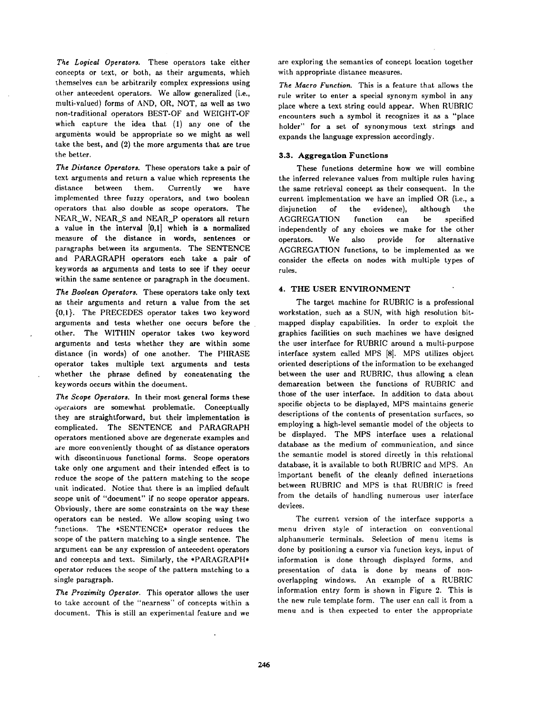*The Logical Operators.* These operators take either concepts or text, or both, as their arguments, which themselves can be arbitrarily complex expressions using other antecedent operators. We allow generalized (i.e., multi-valued) forms of AND, OR, NOT, as well as two non-traditional operators BEST-OF and WEIGHT-OF which capture the idea that (I) any one of the arguments would be appropriate so we might as well take the best, and (2) the more arguments that are true the better.

*The Distance Operators.* These operators take a pair of text arguments and return a value which represents the distance between them. Currently we have implemented three fuzzy operators, and two boolean operators that also double as scope operators. The NEAR\_W, NEAR\_S and NEAR\_P operators all return AGGREGATION a value in the interval [0,1] which is a normalized measure of the distance in words, sentenees **or**  paragraphs between its arguments. The SENTENCE and PARAGRAPH operators each take a pair of keywords as arguments and tests to see if they occur within the same sentence or paragraph in the document.

*The Boolean Operators.* These operators take only text as their arguments and return a value from the set {0,1}. The PRECEDES operator takes two keyword arguments and tests whether one occurs before the other. The WITHIN operator takes two keyword arguments and tests whether they are within some distance (in words) of one another. The PHRASE operator takes multiple text arguments and tests whether the phrase defined by concatenating the keywords occurs within the document.

*The Scope Operators.* In their most general forms these operators are somewhat problematic. Conceptually they are straightforward, but their implementation is complicated. The SENTENCE and PARAGRAPH operators mentioned above are degenerate examples and are more conveniently thought of as distance operators with discontinuous functional forms. Scope operators take only one argument and their intended effect is to reduce the scope of the pattern matching to the scope unit indicated. Notice that there is an implied default scope unit of *"document"* if no scope operator appears. Obviously, there are some constraints on the way these operators can be nested. We allow seoping using two functions. The \*SENTENCE\* operator reduces the scope of the pattern matching to a single sentence. The argument can be any expression of antecedent operators and concepts and text. Similarly, the \*PARAGRAPH\* operator reduces the scope of the pattern matching to a single paragraph.

*The Proximity Operator.* This operator allows the user to take account of the "nearness" of concepts within a document. This is still an experimental feature and we are exploring the semantics of concept location together with appropriate distance measures.

*The Macro Function.* This is a feature that allows the rule writer to enter a special synonym symbol in any place where a text string could appear. When RUBRIC encounters such a symbol it recognizes it as a "place holder" for a set of synonymous text strings and expands the language expression accordingly.

## **3.3. Aggregation Functions**

These functions determine how we will combine the inferred relevance values from multiple rules having the same retrieval concept as their consequent. In the current implementation we have an implied OR (i.e., a of the evidence), although the function can be specified independently of any choices we make for the other We also provide for alternative AGGREGATION functions, to be implemented as we consider the effects on nodes with multiple types of

### 4. THE USER ENVIRONMENT

The target machine for RUBRIC is a professional workstation, such as a SUN, with high resolution bitmapped display capabilities. In order to exploit the graphics facilities on such machines we have designed the user interface for RUBRIC around a multi-purpose interface system called MPS [8]. MPS utilizes object oriented descriptions of the information to be exchanged between the user and RUBRIC, thus allowing a clean demarcation between the functions of RUBRIC and those of the user interface. In addition to data about specific objects to be displayed, MPS maintains generic descriptions of the contents of presentation surfaces, so employing a high-level semantic model of the objects to be displayed. The MPS interface uses a relational database as the medium of communication, and since the semantic model is stored directly in this relational database, it is available to both RUBRIC and MPS. An important benefit of the cleanly defined interactions between RUBRIC and MPS is that RUBRIC is freed from the details of handling numerous user interface

The current version of the interface supports a menu driven style of interaction on conventional alphanumeric terminals. Selection of menu items is done by positioning a cursor via function keys, input of information is done through displayed forms, and presentation of data is done by means of nonoverlapping windows. An example of a RUBRIC information entry form is shown in Figure 2. This is the new rule template form. The user can call it from a menu and is then expected to enter the appropriate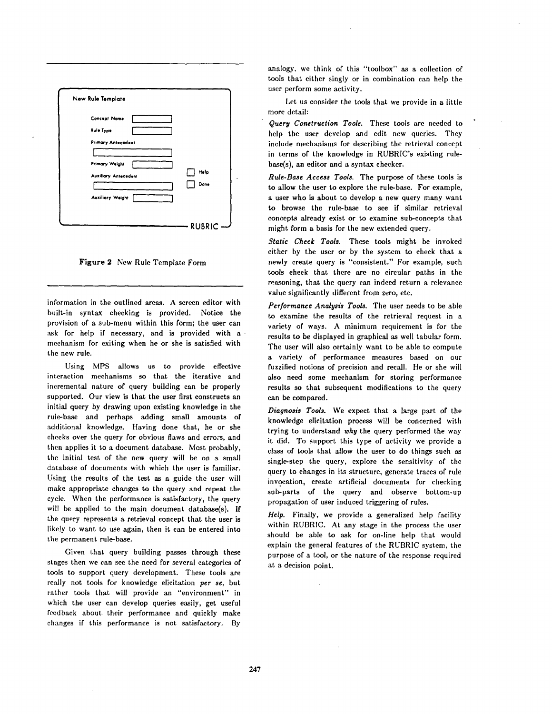



information in the outlined areas. A screen editor with built-in syntax checking is provided. Notice the provision of a sub-menu within this form; the user can ask for help if necessary, and is provided with a mechanism for exiting when he or she is satisfied with the new rule.

Using MPS allows us to provide effective interaction mechanisms so that the iterative and incremental nature of query building can be properly supported. Our view is that the user first constructs an initial query by drawing upon existing knowledge in the rule-base and perhaps adding small amounts of additional knowledge. Having done that, he or she checks over the query for obvious flaws and error's, and then applies it to a document database. Most probably, the initial test of the new query will be on a small database of documents with which the user is familiar. Using the results of the test as a guide the user will make appropriate changes to the query and repeat the cycle. When the performance is satisfactory, the query will be applied to the main document database(s). If the query represents a retrieval concept that the user is likely to want to use again, then it can be entered into the permanent rule-base.

Given that query building passes through these stages then we can see the need for several categories of tools to support query development. These tools are really not tools for knowledge elicitation *per se,* but rather tools that will provide an "environment" in which the user can develop queries easily, get useful feedback about their performance and quickly make changes if this performance is not satisfactory. By analogy, we think of this "toolbox" as a collection of tools that either singly or in combination can help the user perform some activity.

Let us consider the tools that we provide in a little more detail:

*Query Construction Tools.* These tools are needed to help the user develop and edit new queries. They include mechanisms for describing the retrieval concept in terms of the knowledge in RUBRIC's existing rulebase(s), an editor and a syntax checker.

*Rule-Base Access Tools.* The purpose of these tools is to allow the user to explore the rule-base. For example, a user who is about to develop a new query many want to browse the rule-base to see if similar retrieval concepts already exist or to examine sub-concepts that might form a basis for the new extended query.

*Static Check Tools.* These tools might be invoked either by the user or by the system to check that a newly create query is "consistent." For example, such tools check that there are no circular paths in the reasoning, that the query can indeed return a relevance value significantly different from zero, etc.

*Performance Analysis Tools.* The user needs to be able to examine the results of the retrieval request in a variety of ways. A minimum requirement is for the results to be displayed in graphical as well tabular form. The user will also certainly want to be able to compute a variety of performance measures based on our fuzzified notions of precision and recall. He or she will also need some mechanism for storing performance results so that subsequent modifications to the query can be compared.

*Diagnosis Tools.* We expect that a large part of the knowledge elicitation process will be concerned with trying to understand *why* the query performed the way it did. To support this type of activity we provide a class of tools that allow the user to do things such as single-step the query, explore the sensitivity of the query to changes in its structure, generate traces of rule invocation, create artificial documents for checking sub-parts of the query and observe bottom-up propagation of user induced triggering of rules.

*Help.* Finally, we provide a generalized help facility within RUBRIC. At any stage in the process the user should be able to ask for on-line help that would explain the general features of the RUBRIC system, the purpose of a tool, or the nature of the response required at a decision point.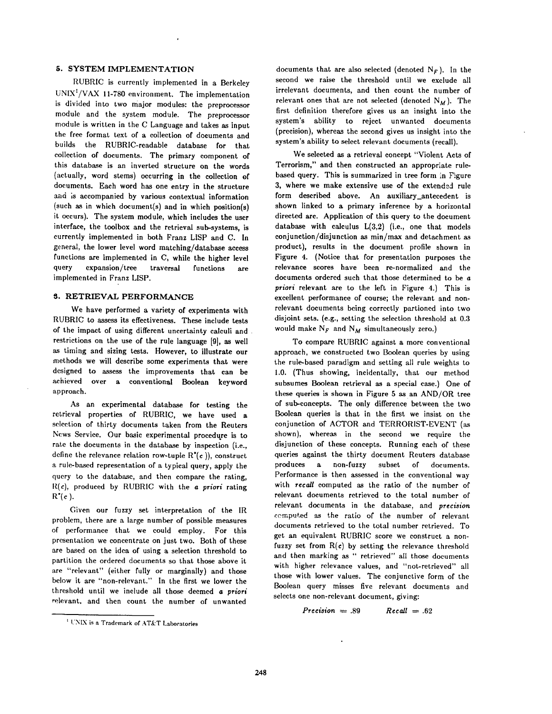# 5. SYSTEM IMPLEMENTATION

RUBRIC is currently implemented in a Berkeley  $UNIX<sup>1</sup>/VAX$  11-780 environment. The implementation is divided into two major modules: the preprocessor module and the system module. The preprocessor module is written in the C Language and takes as input the free format text of a collection of documents and builds the RUBRIC-readable database for that collection of documents. The primary component of this database is an inverted structure on the words (actually, word stems) occurring in the collection of documents. Each word has one entry in the structure and is accompanied by various contextual information (such as in which document(s) and in which position(s) it occurs). The system module, which includes the user interface, the toolbox and the retrieval sub-systems, is currently implemented in both Franz LISP and C. In general, the lower level word matching/database access functions are implemented in C, while the higher level query expansion/tree travemal functions **are**  implemented in Franz LISP.

# **6. RETRIEVAL PERFORMANCE**

We have performed a variety of experiments with RUBRIC to assess its effectiveness. These include tests of the impact of using different uncertainty calculi and restrictions on the use of the rule language [9], as well as timing and sizing tests. However, to illustrate **our**  methods we will describe some experiments that **were**  designed to assess the improvements that can be achieved over a conventional Boolean keyword approach.

As an experimental database for testing the retrieval properties of RUBRIC, we have used a selection of thirty documents taken from the Reuters News Service. Our basic experimental procedure is to rate the documents in the database by inspection (i.e., define the relevance relation row-tuple  $R^*(c)$ ), construct a rule-based representation of a typical query, apply the query to the database, and then compare the rating, R(c), produced by RUBRIC with the *a priori* rating  $R^{\bullet}(\mathfrak{c}).$ 

Given our fuzzy set interpretation of the IR problem, there are a large number of possible measures of performance that we could employ. For this presentation we concentrate on just two. Both of these are based on the idea of using a selection threshold to partition the ordered documents so that those above it are "relevant" (either fully or marginally) and those below it are "non-relevant." In the first we lower the threshold until we include all those deemed *a priori*  relevant, and then count the number of unwanted

documents that are also selected (denoted  $N_F$ ). In the second we raise the threshold until we exclude all irrelevant documents, and then count the number of relevant ones that are not selected (denoted  $N_M$ ). The first definition therefore gives us an insight into the system's ability to reject unwanted documents (precision), whereas the second gives us insight into the system's ability to select relevant documents (recall).

We selected as a retrieval concept "Violent Acts of Terrorism," and then constructed an appropriate rulebased query. This is summarized in tree form 'm Figure 3, where we make extensive use of the extended rule form described above. An auxiliary\_antecedent is shown linked to a primary inference by a horizontal directed are. Application of this query to the document database with calculus L(3,2) (i.e., one that models conjunction/disjunction as min/max and detachment as product), results in the document profile shown in Figure 4. (Notice that for presentation purposes the relevance scores have been re-normalized and the documents ordered such that those determined to be a *priori* relevant are to the left in Figure 4.) This is excellent performance of course; the relevant and nonrelevant documents being correctly portioned into two disjoint sets. (e.g., setting the selection threshold at 0.3 would make  $N_F$  and  $N_M$  simultaneously zero.)

To compare RUBRIC against a more conventional approach, we constructed two Boolean queries by using the rule-based paradigm and setting all rule weights to 1.0. (Thus showing, incidentally, that our method subsumes Boolean retrieval as a special case.) One of these queries is shown in Figure 5 as an AND/OR tree of sub-concepts. The only difference between the two Boolean queries is that in the first we insist on the conjunction of ACTOR and TERRORIST-EVENT (as shown), whereas in the second we require the disjunction of these concepts. Running each of these queries against the thirty document Reuters database produces a non-fuzzy subset of documents. Performance is then assessed in the conventional way with *recall* computed as the ratio of the number of relevant documents retrieved to the total number of relevant documents in the database, and *precision*  computed as the ratio of the number of relevant documents retrieved to the total number retrieved. To get an equivalent RUBRIC score we construct a nonfuzzy set from  $R(c)$  by setting the relevance threshold and then marking as " retrieved" all those documents with higher relevance values, and "not-retrieved" all those with lower values. The conjunctive form of the Boolean query misses five relevant documents and selects one non-relevant document, giving:

 $Precision = .89$   $Recall = .62$ 

<sup>&</sup>lt;sup>1</sup> UNIX is a Trademark of AT&T Laboratories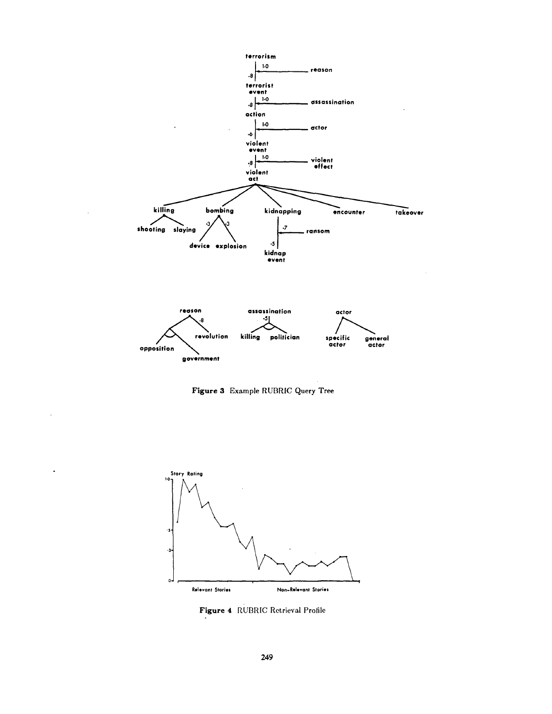

Figure 3 Example RUBRIC Query Tree



 $\overline{a}$ 

Figure 4 RUBRIC Retrieval Profile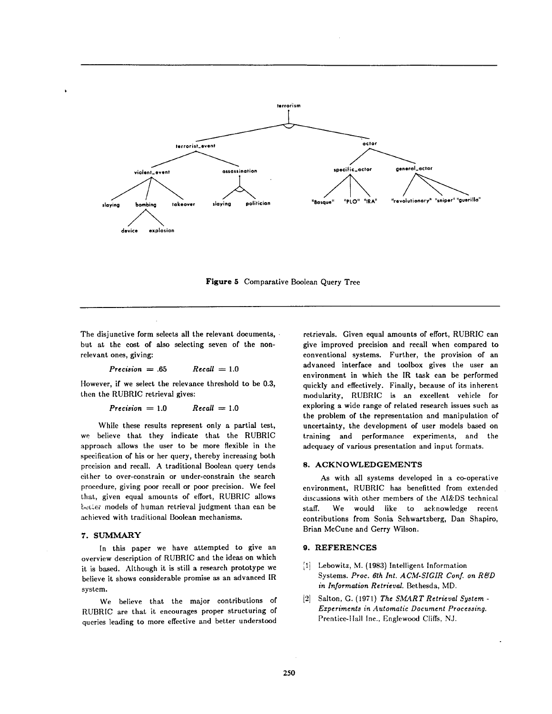

Figure 5 Comparative Boolean Query Tree

The disjunctive form selects all the relevant documents, but at the cost of also selecting seven of the nonrelevant ones, giving:

$$
Precision = .65 \qquad Recall = 1.0
$$

However, if we select the relevance threshold to be 0.3, then the RUBRIC retrieval gives:

# $Precision = 1.0$   $Recall = 1.0$

While these results represent only a partial test, we believe that they indicate that the RUBRIC approach allows the user to be more flexible in the specification of his or her query, thereby increasing both precision and recall. A traditional Boolean query tends either to over-constrain or under-constrain the search procedure, giving poor recall or poor precision. We feel that, given equal amounts of effort, RUBRIC allows bcc:er models of human retrieval judgment than can be achieved with traditional Boolean mechanisms.

### 7. SUMMARY

In this paper we have attempted to give an overview description of RUBRIC and the ideas on which it is based. Although it is still a research prototype we believe it shows considerable promise as an advanced IR system.

We believe that the major contributions of RUBRIC are that it encourages proper structuring of queries leading to more effective and better understood

retrievals. Given equal amounts of effort, RUBRIC can give improved precision and recall when compared to conventional systems. Further, the provision of an advanced interface and toolbox gives the user an environment in which the IR task can be performed quickly and effectively. Finally, because of its inherent modularity, RUBRIC is an excellent vehicle for exploring a wide range of related research issues such as the problem of the representation and manipulation of uncertainty, the development of user models based on training and performance experiments, and the adequacy of various presentation and input formats.

### 8. ACKNOWLEDGEMENTS

As with all systems developed in a co-operative environment, RUBRIC has benefitted from extended discussions with other members of the AI&DS technical staff. We would like to acknowledge recent contributions from Sonia Schwartzberg, Dan Shapiro, Brian McCune and Gerry Wilson.

#### 9. REFERENCES

- [1] Lebowitz, M. (1983) Intelligent Information Systems. Proc. 6th Int. ACM-SIGIR Conf. on R&D *in Information Retrieval.* Bethesda, MD.
- [2] Salton, G. (1971) *The SMART Retrieval System-Experiments in Automatic Document Processing.*  Prentice-llall Inc., Englewood Cliffs, NJ.